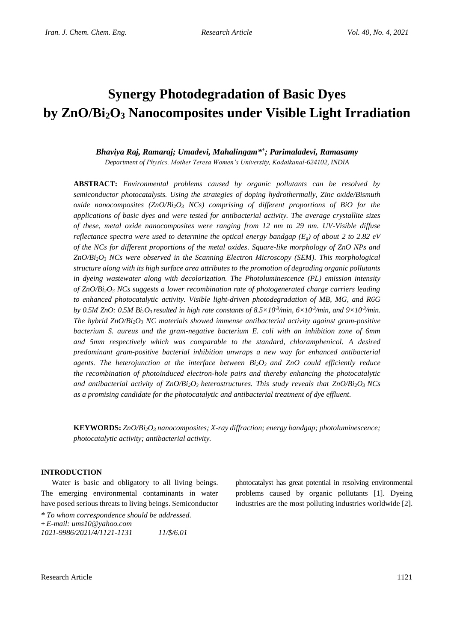# **Synergy Photodegradation of Basic Dyes by ZnO/Bi2O<sup>3</sup> Nanocomposites under Visible Light Irradiation**

# *Bhaviya Raj, Ramaraj; Umadevi, Mahalingam\* + ; Parimaladevi, Ramasamy Department of Physics, Mother Teresa Women's University, Kodaikanal-624102, INDIA*

**ABSTRACT:** *Environmental problems caused by organic pollutants can be resolved by semiconductor photocatalysts. Using the strategies of doping hydrothermally, Zinc oxide/Bismuth oxide nanocomposites (ZnO/Bi2O<sup>3</sup> NCs) comprising of different proportions of BiO for the applications of basic dyes and were tested for antibacterial activity. The average crystallite sizes of these, metal oxide nanocomposites were ranging from 12 nm to 29 nm. UV-Visible diffuse reflectance spectra were used to determine the optical energy bandgap (* $E_g$ *) of about 2 to 2.82 eV of the NCs for different proportions of the metal oxides. Square-like morphology of ZnO NPs and ZnO/Bi2O<sup>3</sup> NCs were observed in the Scanning Electron Microscopy (SEM). This morphological structure along with its high surface area attributes to the promotion of degrading organic pollutants in dyeing wastewater along with decolorization. The Photoluminescence (PL) emission intensity of ZnO/Bi2O<sup>3</sup> NCs suggests a lower recombination rate of photogenerated charge carriers leading to enhanced photocatalytic activity. Visible light-driven photodegradation of MB, MG, and R6G by* 0.5M ZnO: 0.5M Bi<sub>2</sub>O<sub>3</sub> resulted in high rate constants of 8.5×10<sup>-3</sup>/min, 6×10<sup>-3</sup>/min, and 9×10<sup>-3</sup>/min. *The hybrid ZnO/Bi2O<sup>3</sup> NC materials showed immense antibacterial activity against gram-positive bacterium S. aureus and the gram-negative bacterium E. coli with an inhibition zone of 6mm and 5mm respectively which was comparable to the standard, chloramphenicol. A desired predominant gram-positive bacterial inhibition unwraps a new way for enhanced antibacterial agents. The heterojunction at the interface between Bi2O3 and ZnO could efficiently reduce the recombination of photoinduced electron-hole pairs and thereby enhancing the photocatalytic and antibacterial activity of ZnO/Bi2O3 heterostructures. This study reveals that ZnO/Bi2O3 NCs as a promising candidate for the photocatalytic and antibacterial treatment of dye effluent.*

**KEYWORDS:** *ZnO/Bi2O<sup>3</sup> nanocomposites; X-ray diffraction; energy bandgap; photoluminescence; photocatalytic activity; antibacterial activity.*

## **INTRODUCTION**

Water is basic and obligatory to all living beings. The emerging environmental contaminants in water have posed serious threats to living beings. Semiconductor photocatalyst has great potential in resolving environmental problems caused by organic pollutants [1]. Dyeing industries are the most polluting industries worldwide [2].

*\* To whom correspondence should be addressed.* **+** *E-mail: ums10@yahoo.com 1021-9986/2021/4/1121-1131 11/\$/6.01*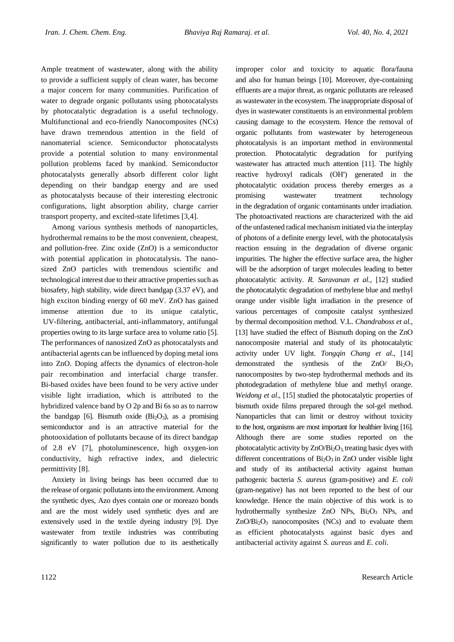Ample treatment of wastewater, along with the ability to provide a sufficient supply of clean water, has become a major concern for many communities. Purification of water to degrade organic pollutants using photocatalysts by photocatalytic degradation is a useful technology. Multifunctional and eco-friendly Nanocomposites (NCs) have drawn tremendous attention in the field of nanomaterial science. Semiconductor photocatalysts provide a potential solution to many environmental pollution problems faced by mankind. Semiconductor photocatalysts generally absorb different color light depending on their bandgap energy and are used as photocatalysts because of their interesting electronic configurations, light absorption ability, charge carrier transport property, and excited-state lifetimes [3,4].

Among various synthesis methods of nanoparticles, hydrothermal remains to be the most convenient, cheapest, and pollution-free. Zinc oxide (ZnO) is a semiconductor with potential application in photocatalysis. The nanosized ZnO particles with tremendous scientific and technological interest due to their attractive properties such as biosafety, high stability, wide direct bandgap (3.37 eV), and high exciton binding energy of 60 meV. ZnO has gained immense attention due to its unique catalytic, UV-filtering, antibacterial, anti-inflammatory, antifungal properties owing to its large surface area to volume ratio [5]. The performances of nanosized ZnO as photocatalysts and antibacterial agents can be influenced by doping metal ions into ZnO. Doping affects the dynamics of electron-hole pair recombination and interfacial charge transfer. Bi-based oxides have been found to be very active under visible light irradiation, which is attributed to the hybridized valence band by O 2p and Bi 6s so as to narrow the bandgap [6]. Bismuth oxide  $(Bi<sub>2</sub>O<sub>3</sub>)$ , as a promising semiconductor and is an attractive material for the photooxidation of pollutants because of its direct bandgap of 2.8 eV [7], photoluminescence, high oxygen-ion conductivity, high refractive index, and dielectric permittivity [8].

Anxiety in living beings has been occurred due to the release of organic pollutants into the environment. Among the synthetic dyes, Azo dyes contain one or moreazo bonds and are the most widely used synthetic dyes and are extensively used in the textile dyeing industry [9]. Dye wastewater from textile industries was contributing significantly to water pollution due to its aesthetically improper color and toxicity to aquatic flora/fauna and also for human beings [10]. Moreover, dye-containing effluents are a major threat, as organic pollutants are released as wastewater in the ecosystem. The inappropriate disposal of dyes in wastewater constituents is an environmental problem causing damage to the ecosystem. Hence the removal of organic pollutants from wastewater by heterogeneous photocatalysis is an important method in environmental protection. Photocatalytic degradation for purifying wastewater has attracted much attention [11]. The highly reactive hydroxyl radicals (OH• ) generated in the photocatalytic oxidation process thereby emerges as a promising wastewater treatment technology in the degradation of organic contaminants under irradiation. The photoactivated reactions are characterized with the aid of the unfastened radical mechanism initiated via the interplay of photons of a definite energy level, with the photocatalysis reaction ensuing in the degradation of diverse organic impurities. The higher the effective surface area, the higher will be the adsorption of target molecules leading to better photocatalytic activity. *R. Saravanan et al.,* [12] studied the photocatalytic degradation of methylene blue and methyl orange under visible light irradiation in the presence of various percentages of composite catalyst synthesized by thermal decomposition method. V.L. *Chandraboss et al.,* [13] have studied the effect of Bismuth doping on the ZnO nanocomposite material and study of its photocatalytic activity under UV light. *Tongqin Chang et al*., [14] demonstrated the synthesis of the  $ZnO$   $Bi<sub>2</sub>O<sub>3</sub>$ nanocomposites by two-step hydrothermal methods and its photodegradation of methylene blue and methyl orange. *Weidong et al*., [15] studied the photocatalytic properties of bismuth oxide films prepared through the sol-gel method. Nanoparticles that can limit or destroy without toxicity to the host, organisms are most important for healthier living [16]. Although there are some studies reported on the photocatalytic activity by  $ZnO/Bi<sub>2</sub>O<sub>3</sub>$  treating basic dyes with different concentrations of  $Bi<sub>2</sub>O<sub>3</sub>$  in ZnO under visible light and study of its antibacterial activity against human pathogenic bacteria *S. aureus* (gram-positive) and *E. coli* (gram-negative) has not been reported to the best of our knowledge. Hence the main objective of this work is to hydrothermally synthesize ZnO NPs, Bi<sub>2</sub>O<sub>3</sub> NPs, and  $ZnO/Bi<sub>2</sub>O<sub>3</sub>$  nanocomposites (NCs) and to evaluate them as efficient photocatalysts against basic dyes and antibacterial activity against *S. aureus* and *E. coli*.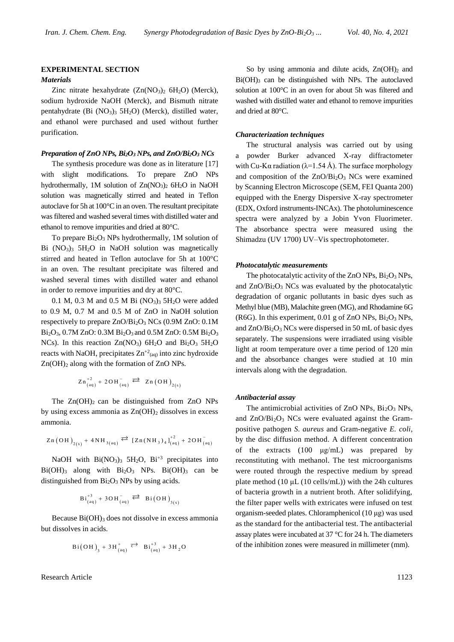## **EXPERIMENTAL SECTION**

## *Materials*

Zinc nitrate hexahydrate  $(Zn(NO<sub>3</sub>)<sub>2</sub> 6H<sub>2</sub>O)$  (Merck), sodium hydroxide NaOH (Merck), and Bismuth nitrate pentahydrate (Bi  $(NO<sub>3</sub>)<sub>3</sub> 5H<sub>2</sub>O$ ) (Merck), distilled water, and ethanol were purchased and used without further purification.

#### *Preparation of ZnO NPs, Bi2O<sup>3</sup> NPs, and ZnO/Bi2O<sup>3</sup> NCs*

The synthesis procedure was done as in literature [17] with slight modifications. To prepare ZnO NPs hydrothermally, 1M solution of Zn(NO<sub>3</sub>)<sub>2</sub> 6H<sub>2</sub>O in NaOH solution was magnetically stirred and heated in Teflon autoclave for 5h at 100°C in an oven. The resultant precipitate wasfiltered and washed several times with distilled water and ethanol to remove impurities and dried at 80°C.

To prepare  $Bi<sub>2</sub>O<sub>3</sub>$  NPs hydrothermally, 1M solution of Bi  $(NO<sub>3</sub>)<sub>3</sub>$  5H<sub>2</sub>O in NaOH solution was magnetically stirred and heated in Teflon autoclave for 5h at 100°C in an oven. The resultant precipitate was filtered and washed several times with distilled water and ethanol in order to remove impurities and dry at 80°C.

0.1 M, 0.3 M and 0.5 M Bi  $(NO<sub>3</sub>)<sub>3</sub> 5H<sub>2</sub>O$  were added to 0.9 M, 0.7 M and 0.5 M of ZnO in NaOH solution respectively to prepare ZnO/Bi2O<sup>3</sup> NCs (0.9M ZnO: 0.1M Bi2O3, 0.7M ZnO: 0.3M Bi2O3 and 0.5M ZnO: 0.5M Bi2O<sup>3</sup> NCs). In this reaction  $Zn(NO<sub>3</sub>)$  6H<sub>2</sub>O and Bi<sub>2</sub>O<sub>3</sub> 5H<sub>2</sub>O reacts with NaOH, precipitates  $Zn^{2}$ <sub>(aq)</sub> into zinc hydroxide  $Zn(OH)_2$  along with the formation of  $ZnO$  NPs.

$$
Zn_{(aq)}^{+2} + 2OH_{(aq)}^- \rightleftarrows Zn (OH)_{2(s)}
$$

The  $Zn(OH)_2$  can be distinguished from  $ZnO$  NPs by using excess ammonia as  $Zn(OH)_2$  dissolves in excess ammonia.

$$
Zn (OH)_{2(s)} + 4NH_{3(aq)} \stackrel{\overrightarrow{2}}{\leftarrow} [Zn (NH_3)_4]_{(aq)}^{+2} + 2OH_{(aq)}^{-}
$$

NaOH with  $Bi(NO<sub>3</sub>)<sub>3</sub> 5H<sub>2</sub>O$ ,  $Bi<sup>+3</sup>$  precipitates into  $Bi(OH)_{3}$  along with  $Bi_{2}O_{3}$  NPs.  $Bi(OH)_{3}$  can be distinguished from Bi2O<sup>3</sup> NPs by using acids.

$$
Bi_{(aq)}^{+3} + 3OH_{(aq)}^- \stackrel{-}{\iff} Bi(OH)_{3(s)}
$$

Because  $Bi(OH)$ <sub>3</sub> does not dissolve in excess ammonia but dissolves in acids.

$$
Bi(OH)_{3} + 3H^{+}_{(aq)} \stackrel{\longrightarrow}{\rightleftharpoons} Bi^{+3}_{(aq)} + 3H^{2}O
$$

Research Article 1123

So by using ammonia and dilute acids,  $Zn(OH)_2$  and  $Bi(OH)_{3}$  can be distinguished with NPs. The autoclaved solution at 100°C in an oven for about 5h was filtered and washed with distilled water and ethanol to remove impurities and dried at 80°C.

#### *Characterization techniques*

The structural analysis was carried out by using a powder Burker advanced X-ray diffractometer with Cu-K $\alpha$  radiation ( $\lambda$ =1.54 Å). The surface morphology and composition of the  $ZnO/Bi<sub>2</sub>O<sub>3</sub>$  NCs were examined by Scanning Electron Microscope (SEM, FEI Quanta 200) equipped with the Energy Dispersive X-ray spectrometer (EDX, Oxford instruments-INCAx). The photoluminescence spectra were analyzed by a Jobin Yvon Fluorimeter. The absorbance spectra were measured using the Shimadzu (UV 1700) UV–Vis spectrophotometer.

#### *Photocatalytic measurements*

The photocatalytic activity of the ZnO NPs,  $Bi<sub>2</sub>O<sub>3</sub>$  NPs, and  $ZnO/Bi<sub>2</sub>O<sub>3</sub> NCs$  was evaluated by the photocatalytic degradation of organic pollutants in basic dyes such as Methyl blue (MB), Malachite green (MG), and Rhodamine 6G (R6G). In this experiment,  $0.01$  g of ZnO NPs,  $Bi<sub>2</sub>O<sub>3</sub>$  NPs, and ZnO/Bi2O<sup>3</sup> NCs were dispersed in 50 mL of basic dyes separately. The suspensions were irradiated using visible light at room temperature over a time period of 120 min and the absorbance changes were studied at 10 min intervals along with the degradation.

#### *Antibacterial assay*

The antimicrobial activities of ZnO NPs,  $Bi<sub>2</sub>O<sub>3</sub>$  NPs, and  $ZnO/Bi<sub>2</sub>O<sub>3</sub> NCs$  were evaluated against the Grampositive pathogen *S. aureus* and Gram-negative *E. coli,* by the disc diffusion method. A different concentration of the extracts (100 μg/mL) was prepared by reconstituting with methanol. The test microorganisms were routed through the respective medium by spread plate method (10  $\mu$ L (10 cells/mL)) with the 24h cultures of bacteria growth in a nutrient broth. After solidifying, the filter paper wells with extricates were infused on test organism-seeded plates. Chloramphenicol (10 μg) was used as the standard for the antibacterial test. The antibacterial assay plates were incubated at 37 °C for 24 h. The diameters of the inhibition zones were measured in millimeter (mm).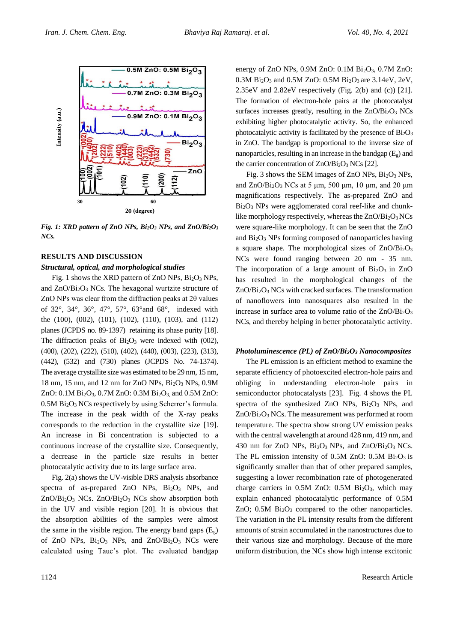

*Fig. 1: XRD pattern of ZnO NPs, Bi2O<sup>3</sup> NPs, and ZnO/Bi2O<sup>3</sup> NCs.*

# **RESULTS AND DISCUSSION**

# *Structural, optical, and morphological studies*

Fig. 1 shows the XRD pattern of ZnO NPs, Bi2O<sup>3</sup> NPs, and ZnO/Bi2O<sup>3</sup> NCs. The hexagonal wurtzite structure of ZnO NPs was clear from the diffraction peaks at 2θ values of 32°, 34°, 36°, 47°, 57°, 63°and 68°, indexed with the (100), (002), (101), (102), (110), (103), and (112) planes (JCPDS no. 89-1397) retaining its phase purity [18]. The diffraction peaks of  $Bi<sub>2</sub>O<sub>3</sub>$  were indexed with (002), (400), (202), (222), (510), (402), (440), (003), (223), (313), (442), (532) and (730) planes (JCPDS No. 74-1374). The average crystallite size was estimated to be 29 nm, 15 nm, 18 nm, 15 nm, and 12 nm for ZnO NPs, Bi2O<sup>3</sup> NPs, 0.9M ZnO:  $0.1M Bi<sub>2</sub>O<sub>3</sub>$ ,  $0.7M ZnO$ :  $0.3M Bi<sub>2</sub>O<sub>3</sub>$ , and  $0.5M ZnO$ : 0.5M Bi2O<sup>3</sup> NCs respectively by using Scherrer's formula. The increase in the peak width of the X-ray peaks corresponds to the reduction in the crystallite size [19]. An increase in Bi concentration is subjected to a continuous increase of the crystallite size. Consequently, a decrease in the particle size results in better photocatalytic activity due to its large surface area.

Fig. 2(a) shows the UV-visible DRS analysis absorbance spectra of as-prepared ZnO NPs, Bi<sub>2</sub>O<sub>3</sub> NPs, and  $ZnO/Bi<sub>2</sub>O<sub>3</sub>$  NCs.  $ZnO/Bi<sub>2</sub>O<sub>3</sub>$  NCs show absorption both in the UV and visible region [20]. It is obvious that the absorption abilities of the samples were almost the same in the visible region. The energy band gaps  $(E_g)$ of ZnO NPs,  $Bi<sub>2</sub>O<sub>3</sub>$  NPs, and ZnO/Bi<sub>2</sub>O<sub>3</sub> NCs were calculated using Tauc's plot. The evaluated bandgap

energy of ZnO NPs,  $0.9M$  ZnO:  $0.1M$  Bi<sub>2</sub>O<sub>3</sub>,  $0.7M$  ZnO:  $0.3M$  Bi<sub>2</sub>O<sub>3</sub> and  $0.5M$  ZnO:  $0.5M$  Bi<sub>2</sub>O<sub>3</sub> are  $3.14eV$ ,  $2eV$ , 2.35eV and 2.82eV respectively (Fig. 2(b) and (c)) [21]. The formation of electron-hole pairs at the photocatalyst surfaces increases greatly, resulting in the  $ZnO/Bi<sub>2</sub>O<sub>3</sub> NCs$ exhibiting higher photocatalytic activity. So, the enhanced photocatalytic activity is facilitated by the presence of  $Bi<sub>2</sub>O<sub>3</sub>$ in ZnO. The bandgap is proportional to the inverse size of nanoparticles, resulting in an increase in the bandgap  $(E_{g})$  and the carrier concentration of  $ZnO/Bi<sub>2</sub>O<sub>3</sub> NCs$  [22].

Fig. 3 shows the SEM images of ZnO NPs,  $Bi<sub>2</sub>O<sub>3</sub>$  NPs, and  $ZnO/Bi<sub>2</sub>O<sub>3</sub> NCs$  at 5 μm, 500 μm, 10 μm, and 20 μm magnifications respectively. The as-prepared ZnO and Bi2O<sup>3</sup> NPs were agglomerated coral reef-like and chunklike morphology respectively, whereas the  $ZnO/Bi<sub>2</sub>O<sub>3</sub>NCs$ were square-like morphology. It can be seen that the ZnO and Bi2O<sup>3</sup> NPs forming composed of nanoparticles having a square shape. The morphological sizes of  $ZnO/Bi<sub>2</sub>O<sub>3</sub>$ NCs were found ranging between 20 nm - 35 nm. The incorporation of a large amount of  $Bi<sub>2</sub>O<sub>3</sub>$  in ZnO has resulted in the morphological changes of the  $ZnO/Bi<sub>2</sub>O<sub>3</sub> NCs$  with cracked surfaces. The transformation of nanoflowers into nanosquares also resulted in the increase in surface area to volume ratio of the ZnO/Bi2O<sup>3</sup> NCs, and thereby helping in better photocatalytic activity.

# *Photoluminescence (PL) of ZnO/Bi2O<sup>3</sup> Nanocomposites*

The PL emission is an efficient method to examine the separate efficiency of photoexcited electron-hole pairs and obliging in understanding electron-hole pairs in semiconductor photocatalysts [23]. Fig. 4 shows the PL spectra of the synthesized ZnO NPs,  $Bi<sub>2</sub>O<sub>3</sub>$  NPs, and  $ZnO/Bi<sub>2</sub>O<sub>3</sub> NCs$ . The measurement was performed at room temperature. The spectra show strong UV emission peaks with the central wavelength at around 428 nm, 419 nm, and 430 nm for ZnO NPs, Bi2O3 NPs, and ZnO/Bi2O3 NCs. The PL emission intensity of 0.5M ZnO:  $0.5M$  Bi<sub>2</sub>O<sub>3</sub> is significantly smaller than that of other prepared samples, suggesting a lower recombination rate of photogenerated charge carriers in  $0.5M$  ZnO:  $0.5M$  Bi<sub>2</sub>O<sub>3</sub>, which may explain enhanced photocatalytic performance of 0.5M ZnO;  $0.5M$  Bi<sub>2</sub>O<sub>3</sub> compared to the other nanoparticles. The variation in the PL intensity results from the different amounts of strain accumulated in the nanostructures due to their various size and morphology. Because of the more uniform distribution, the NCs show high intense excitonic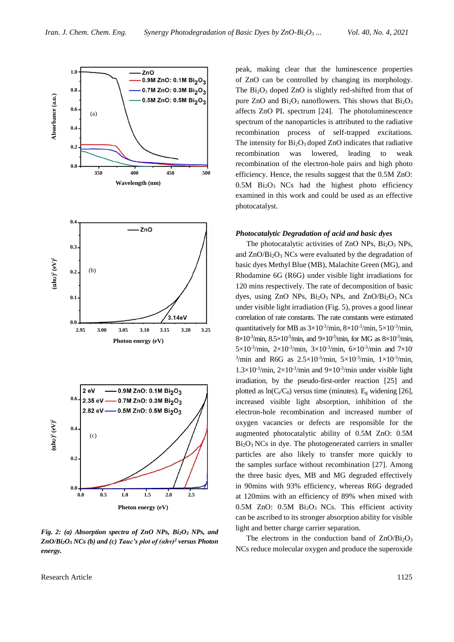

*Fig. 2: (a) Absorption spectra of ZnO NPs, Bi2O<sup>3</sup> NPs, and ZnO/Bi2O<sup>3</sup> NCs (b) and (c) Tauc's plot of (αhν)<sup>2</sup> versus Photon energy.*

Research Article 1125

peak, making clear that the luminescence properties of ZnO can be controlled by changing its morphology. The  $Bi<sub>2</sub>O<sub>3</sub>$  doped ZnO is slightly red-shifted from that of pure ZnO and  $Bi<sub>2</sub>O<sub>3</sub>$  nanoflowers. This shows that  $Bi<sub>2</sub>O<sub>3</sub>$ affects ZnO PL spectrum [24]. The photoluminescence spectrum of the nanoparticles is attributed to the radiative recombination process of self-trapped excitations. The intensity for  $Bi<sub>2</sub>O<sub>3</sub>$  doped ZnO indicates that radiative recombination was lowered, leading to weak recombination of the electron-hole pairs and high photo efficiency. Hence, the results suggest that the 0.5M ZnO: 0.5M Bi2O3 NCs had the highest photo efficiency examined in this work and could be used as an effective photocatalyst.

#### *Photocatalytic Degradation of acid and basic dyes*

The photocatalytic activities of ZnO NPs,  $Bi<sub>2</sub>O<sub>3</sub>$  NPs, and ZnO/Bi2O<sup>3</sup> NCs were evaluated by the degradation of basic dyes Methyl Blue (MB), Malachite Green (MG), and Rhodamine 6G (R6G) under visible light irradiations for 120 mins respectively. The rate of decomposition of basic dyes, using ZnO NPs,  $Bi<sub>2</sub>O<sub>3</sub>$  NPs, and ZnO/Bi<sub>2</sub>O<sub>3</sub> NCs under visible light irradiation (Fig. 5), proves a good linear correlation of rate constants. The rate constants were estimated quantitatively for MB as  $3\times10^{-3}$ /min,  $8\times10^{-3}$ /min,  $5\times10^{-3}$ /min,  $8 \times 10^{3}$ /min,  $8.5 \times 10^{3}$ /min, and  $9 \times 10^{3}$ /min, for MG as  $8 \times 10^{3}$ /min, 5×10<sup>-3</sup>/min, 2×10<sup>-3</sup>/min, 3×10<sup>-3</sup>/min, 6×10<sup>-3</sup>/min and 7×10 <sup>3</sup>/min and R6G as  $2.5 \times 10^{-3}$ /min,  $5 \times 10^{-3}$ /min,  $1 \times 10^{-3}$ /min,  $1.3 \times 10^{-3}$ /min,  $2 \times 10^{-3}$ /min and  $9 \times 10^{-3}$ /min under visible light irradiation, by the pseudo-first-order reaction [25] and plotted as  $ln(C_t/C_0)$  versus time (minutes). E<sub>g</sub> widening [26], increased visible light absorption, inhibition of the electron-hole recombination and increased number of oxygen vacancies or defects are responsible for the augmented photocatalytic ability of 0.5M ZnO: 0.5M Bi2O3 NCs in dye. The photogenerated carriers in smaller particles are also likely to transfer more quickly to the samples surface without recombination [27]. Among the three basic dyes, MB and MG degraded effectively in 90mins with 93% efficiency, whereas R6G degraded at 120mins with an efficiency of 89% when mixed with  $0.5M$  ZnO:  $0.5M$  Bi<sub>2</sub>O<sub>3</sub> NCs. This efficient activity can be ascribed to its stronger absorption ability for visible light and better charge carrier separation.

The electrons in the conduction band of  $ZnO/Bi<sub>2</sub>O<sub>3</sub>$ NCs reduce molecular oxygen and produce the superoxide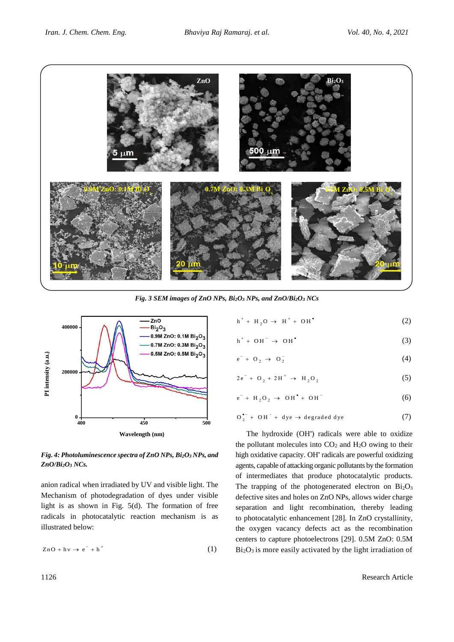

*Fig. 3 SEM images of ZnO NPs, Bi2O<sup>3</sup> NPs, and ZnO/Bi2O<sup>3</sup> NCs*



# *Fig. 4: Photoluminescence spectra of ZnO NPs, Bi2O<sup>3</sup> NPs, and ZnO/Bi2O<sup>3</sup> NCs.*

anion radical when irradiated by UV and visible light. The Mechanism of photodegradation of dyes under visible light is as shown in Fig.  $5(d)$ . The formation of free radicals in photocatalytic reaction mechanism is as illustrated below:

$$
ZnO + hv \to e^- + h^+ \tag{1}
$$

$$
h^+ + H_2O \rightarrow H^+ + OH^{\bullet}
$$
 (2)

$$
h^+ + OH^- \rightarrow OH^{\bullet} \tag{3}
$$

$$
e^- + O_2 \rightarrow O_2^- \tag{4}
$$

$$
2e^- + O_2 + 2H^+ \rightarrow H_2O_2 \tag{5}
$$

$$
e^- + H_2O_2 \rightarrow OH^* + OH^-
$$
 (6)

$$
O_2^{--} + OH^- + dye \rightarrow degraded\,dye \tag{7}
$$

The hydroxide (OH') radicals were able to oxidize the pollutant molecules into  $CO<sub>2</sub>$  and  $H<sub>2</sub>O$  owing to their high oxidative capacity. OH' radicals are powerful oxidizing agents, capable of attacking organic pollutants by the formation of intermediates that produce photocatalytic products. The trapping of the photogenerated electron on Bi<sub>2</sub>O<sub>3</sub> defective sites and holes on ZnO NPs, allows wider charge separation and light recombination, thereby leading to photocatalytic enhancement [28]. In ZnO crystallinity, the oxygen vacancy defects act as the recombination centers to capture photoelectrons [29]. 0.5M ZnO: 0.5M  $Bi<sub>2</sub>O<sub>3</sub>$  is more easily activated by the light irradiation of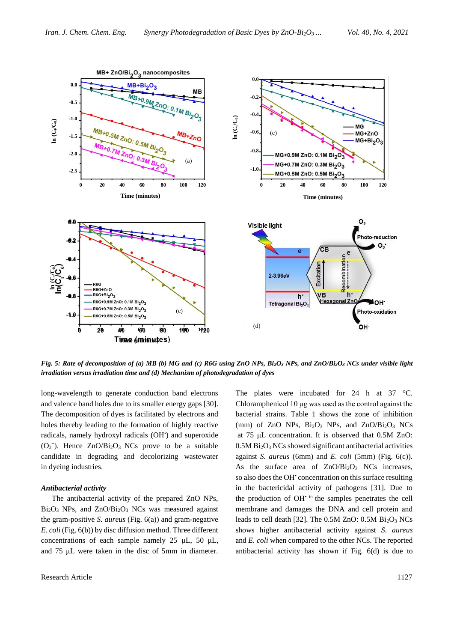

*Fig. 5: Rate of decomposition of (a) MB (b) MG and (c) R6G using ZnO NPs, Bi2O<sup>3</sup> NPs, and ZnO/Bi2O<sup>3</sup> NCs under visible light irradiation versus irradiation time and (d) Mechanism of photodegradation of dyes*

long-wavelength to generate conduction band electrons and valence band holes due to its smaller energy gaps [30]. The decomposition of dyes is facilitated by electrons and holes thereby leading to the formation of highly reactive radicals, namely hydroxyl radicals (OH') and superoxide  $(O_2^-)$ . Hence ZnO/Bi<sub>2</sub>O<sub>3</sub> NCs prove to be a suitable candidate in degrading and decolorizing wastewater in dyeing industries.

# *Antibacterial activity*

The antibacterial activity of the prepared ZnO NPs,  $Bi<sub>2</sub>O<sub>3</sub>$  NPs, and  $ZnO/Bi<sub>2</sub>O<sub>3</sub>$  NCs was measured against the gram-positive *S. aureus* (Fig. 6(a)) and gram-negative *E. coli* (Fig. 6(b)) by disc diffusion method. Three different concentrations of each sample namely 25 μL, 50 μL, and 75 μL were taken in the disc of 5mm in diameter.

The plates were incubated for 24 h at 37 °C. Chloramphenicol 10 μg was used as the control against the bacterial strains. Table 1 shows the zone of inhibition (mm) of ZnO NPs,  $Bi<sub>2</sub>O<sub>3</sub>$  NPs, and ZnO/Bi<sub>2</sub>O<sub>3</sub> NCs at 75 μL concentration. It is observed that 0.5M ZnO: 0.5M Bi2O<sup>3</sup> NCs showed significant antibacterial activities against *S. aureus* (6mm) and *E. coli* (5mm) (Fig. 6(c)). As the surface area of  $ZnO/Bi<sub>2</sub>O<sub>3</sub>$  NCs increases, so also does the OH<sup>+</sup> concentration on this surface resulting in the bactericidal activity of pathogens [31]. Due to the production of  $OH<sup>+</sup>$  in the samples penetrates the cell membrane and damages the DNA and cell protein and leads to cell death [32]. The  $0.5M$  ZnO:  $0.5M$  Bi<sub>2</sub>O<sub>3</sub> NCs shows higher antibacterial activity against *S. aureus* and *E. coli* when compared to the other NCs. The reported antibacterial activity has shown if Fig. 6(d) is due to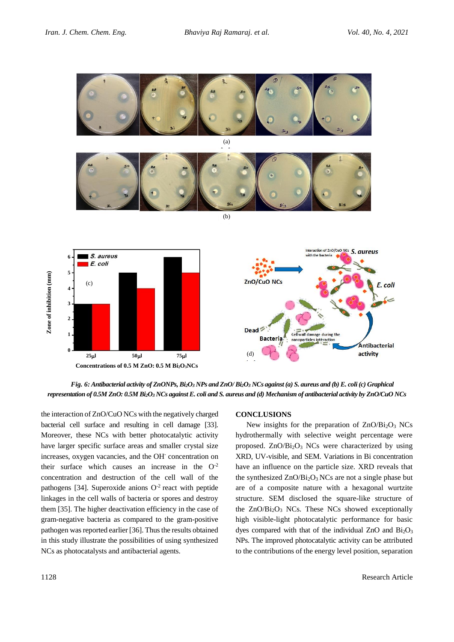

*Fig. 6: Antibacterial activity of ZnONPs, Bi2O<sup>3</sup> NPs and ZnO/ Bi2O<sup>3</sup> NCs against (a) S. aureus and (b) E. coli (c) Graphical representation of 0.5M ZnO: 0.5M Bi2O<sup>3</sup> NCs against E. coli and S. aureus and (d) Mechanism of antibacterial activity by ZnO/CuO NCs*

the interaction of ZnO/CuO NCs with the negatively charged bacterial cell surface and resulting in cell damage [33]. Moreover, these NCs with better photocatalytic activity have larger specific surface areas and smaller crystal size increases, oxygen vacancies, and the OH-concentration on their surface which causes an increase in the  $O<sup>-2</sup>$ concentration and destruction of the cell wall of the pathogens [34]. Superoxide anions  $O^{-2}$  react with peptide linkages in the cell walls of bacteria or spores and destroy them [35]. The higher deactivation efficiency in the case of gram-negative bacteria as compared to the gram-positive pathogen was reported earlier [36]. Thus the results obtained in this study illustrate the possibilities of using synthesized NCs as photocatalysts and antibacterial agents.

# **CONCLUSIONS**

New insights for the preparation of  $ZnO/Bi<sub>2</sub>O<sub>3</sub> NCs$ hydrothermally with selective weight percentage were proposed. ZnO/Bi<sub>2</sub>O<sub>3</sub> NCs were characterized by using XRD, UV-visible, and SEM. Variations in Bi concentration have an influence on the particle size. XRD reveals that the synthesized  $ZnO/Bi<sub>2</sub>O<sub>3</sub> NCs$  are not a single phase but are of a composite nature with a hexagonal wurtzite structure. SEM disclosed the square-like structure of the  $ZnO/Bi<sub>2</sub>O<sub>3</sub>$  NCs. These NCs showed exceptionally high visible-light photocatalytic performance for basic dyes compared with that of the individual ZnO and  $Bi<sub>2</sub>O<sub>3</sub>$ NPs. The improved photocatalytic activity can be attributed to the contributions of the energy level position, separation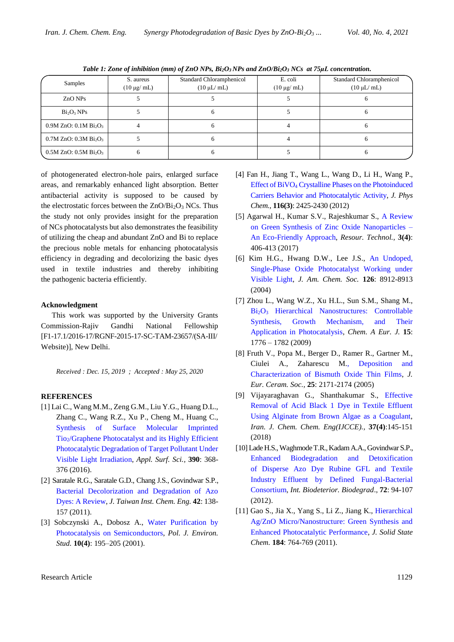| Samples                                           | S. aureus<br>$(10 \mu g/mol)$ | Standard Chloramphenicol<br>$(10 \mu L/mL)$ | E. coli<br>$(10 \mu g/mol)$ | Standard Chloramphenicol<br>$(10 \mu L/mL)$ |
|---------------------------------------------------|-------------------------------|---------------------------------------------|-----------------------------|---------------------------------------------|
| ZnO NPs                                           |                               |                                             |                             |                                             |
| Bi <sub>2</sub> O <sub>3</sub> NPs                |                               |                                             |                             |                                             |
| $0.9M$ ZnO: $0.1M$ Bi <sub>2</sub> O <sub>3</sub> |                               |                                             |                             |                                             |
| $0.7M$ ZnO: $0.3M$ Bi <sub>2</sub> O <sub>3</sub> |                               |                                             |                             |                                             |
| $0.5M$ ZnO: $0.5M$ Bi <sub>2</sub> O <sub>3</sub> |                               |                                             |                             |                                             |

*Table 1: Zone of inhibition (mm) of ZnO NPs, Bi2O3 NPs and ZnO/Bi2O<sup>3</sup> NCs at 75μL concentration.*

of photogenerated electron-hole pairs, enlarged surface areas, and remarkably enhanced light absorption. Better antibacterial activity is supposed to be caused by the electrostatic forces between the  $ZnO/Bi<sub>2</sub>O<sub>3</sub> NCs$ . Thus the study not only provides insight for the preparation of NCs photocatalysts but also demonstrates the feasibility of utilizing the cheap and abundant ZnO and Bi to replace the precious noble metals for enhancing photocatalysis efficiency in degrading and decolorizing the basic dyes used in textile industries and thereby inhibiting the pathogenic bacteria efficiently.

## **Acknowledgment**

This work was supported by the University Grants Commission-Rajiv Gandhi National Fellowship [F1-17.1/2016-17/RGNF-2015-17-SC-TAM-23657/(SA-III/ Website)], New Delhi.

*Received : Dec. 15, 2019 ; Accepted : May 25, 2020*

# **REFERENCES**

- [1] Lai C., Wang M.M., Zeng G.M., Liu Y.G., Huang D.L., Zhang C., Wang R.Z., Xu P., Cheng M., Huang C., [Synthesis of Surface Molecular Imprinted](https://www.sciencedirect.com/science/article/abs/pii/S0169433216317627?via%3Dihub)  Tio2[/Graphene Photocatalyst and its Highly Efficient](https://www.sciencedirect.com/science/article/abs/pii/S0169433216317627?via%3Dihub)  [Photocatalytic Degradation of Target Pollutant Under](https://www.sciencedirect.com/science/article/abs/pii/S0169433216317627?via%3Dihub)  [Visible Light Irradiation,](https://www.sciencedirect.com/science/article/abs/pii/S0169433216317627?via%3Dihub) *Appl. Surf. Sci.,* **390**: 368- 376 (2016).
- [2] Saratale R.G., Saratale G.D., Chang J.S., Govindwar S.P., [Bacterial Decolorization and Degradation of Azo](https://www.sciencedirect.com/science/article/abs/pii/S1876107010001094)  [Dyes: A Review,](https://www.sciencedirect.com/science/article/abs/pii/S1876107010001094) *J. Taiwan Inst. Chem. Eng.* **42**: 138- 157 (2011).
- [3] Sobczynski A., Dobosz A., [Water Purification by](http://www.pjoes.com/Issue-4-2001,3777)  [Photocatalysis on Semiconductors,](http://www.pjoes.com/Issue-4-2001,3777) *Pol. J. Environ. Stud.* **10(4)**: 195–205 (2001).
- [4] Fan H., Jiang T., Wang L., Wang D., Li H., Wang P., Effect of BiVO<sup>4</sup> [Crystalline Phases on the Photoinduced](https://pubs.acs.org/doi/abs/10.1021/jp206798d)  [Carriers Behavior and Photocatalytic Activity,](https://pubs.acs.org/doi/abs/10.1021/jp206798d) *J. Phys Chem.,* **116(3)**: 2425-2430 (2012)
- [5] Agarwal H., Kumar S.V., Rajeshkumar S., [A Review](https://www.sciencedirect.com/science/article/pii/S2405653717300283)  [on Green Synthesis of Zinc Oxide Nanoparticles –](https://www.sciencedirect.com/science/article/pii/S2405653717300283) [An Eco-Friendly Approach,](https://www.sciencedirect.com/science/article/pii/S2405653717300283) *Resour. Technol.,* **3(4)**: 406-413 (2017)
- [6] Kim H.G., Hwang D.W., Lee J.S., [An Undoped,](https://pubs.acs.org/doi/10.1021/ja049676a)  [Single-Phase Oxide Photocatalyst Working under](https://pubs.acs.org/doi/10.1021/ja049676a)  [Visible Light,](https://pubs.acs.org/doi/10.1021/ja049676a) *J. Am. Chem. Soc.* **126**: 8912-8913 (2004)
- [7] Zhou L., Wang W.Z., Xu H.L., Sun S.M., Shang M., Bi2O<sup>3</sup> [Hierarchical Nanostructures: Controllable](https://www.ncbi.nlm.nih.gov/pubmed/19115297)  [Synthesis, Growth Mechanism, and Their](https://www.ncbi.nlm.nih.gov/pubmed/19115297)  [Application in Photocatalysis,](https://www.ncbi.nlm.nih.gov/pubmed/19115297) *Chem. A Eur. J.* **15**: 1776 – 1782 (2009)
- [8] Fruth V., Popa M., Berger D., Ramer R., Gartner M., Ciulei A., Zaharescu [M., Deposition and](https://www.sciencedirect.com/science/article/abs/pii/S0955221905001792)  [Characterization of Bismuth Oxide Thin Films,](https://www.sciencedirect.com/science/article/abs/pii/S0955221905001792) *J. Eur. Ceram. Soc.,* **25**: 2171-2174 (2005)
- [9] Vijayaraghavan G., Shanthakumar S., [Effective](http://www.ijcce.ac.ir/article_35074_994666df6f80804071f220305183fe18.pdf)  [Removal of Acid Black 1 Dye in Textile Effluent](http://www.ijcce.ac.ir/article_35074_994666df6f80804071f220305183fe18.pdf)  [Using Alginate from Brown Algae as a Coagulant,](http://www.ijcce.ac.ir/article_35074_994666df6f80804071f220305183fe18.pdf) *Iran. J. Chem. Chem. Eng(IJCCE).,* **37(4)**:145-151 (2018)
- [10] Lade H.S., WaghmodeT.R., KadamA.A., Govindwar S.P., [Enhanced Biodegradation and Detoxification](https://www.researchgate.net/publication/232732256_Enhanced_biodegradation_and_detoxification_of_disperse_azo_dye_Rubine_GFL_and_textile_industry_effluent_by_defined_fungal-bacterial_consortium)  [of Disperse Azo Dye Rubine GFL and](https://www.researchgate.net/publication/232732256_Enhanced_biodegradation_and_detoxification_of_disperse_azo_dye_Rubine_GFL_and_textile_industry_effluent_by_defined_fungal-bacterial_consortium) Textile [Industry Effluent by Defined Fungal-Bacterial](https://www.researchgate.net/publication/232732256_Enhanced_biodegradation_and_detoxification_of_disperse_azo_dye_Rubine_GFL_and_textile_industry_effluent_by_defined_fungal-bacterial_consortium)  [Consortium,](https://www.researchgate.net/publication/232732256_Enhanced_biodegradation_and_detoxification_of_disperse_azo_dye_Rubine_GFL_and_textile_industry_effluent_by_defined_fungal-bacterial_consortium) *Int. Biodeterior. Biodegrad*., **72**: 94-107 (2012).
- [11] Gao S., Jia X., Yang S., Li Z., Jiang K., [Hierarchical](https://www.sciencedirect.com/science/article/abs/pii/S0022459611000260)  [Ag/ZnO Micro/Nanostructure: Green Synthesis and](https://www.sciencedirect.com/science/article/abs/pii/S0022459611000260)  [Enhanced Photocatalytic Performance,](https://www.sciencedirect.com/science/article/abs/pii/S0022459611000260) *J. Solid State Chem.* **184**: 764-769 (2011).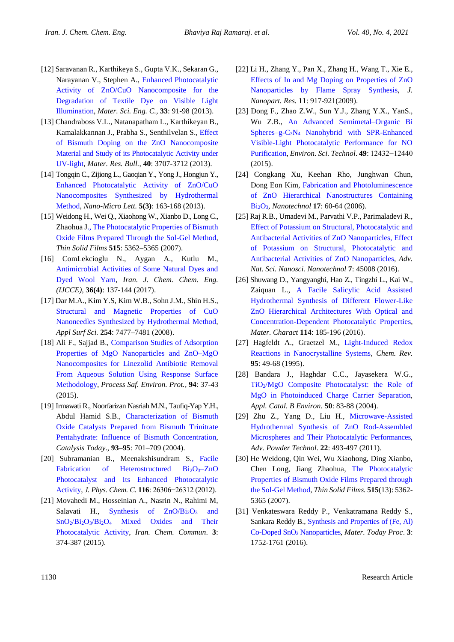- [12] Saravanan R., Karthikeya S., Gupta V.K., Sekaran G., Narayanan V., Stephen A., [Enhanced Photocatalytic](https://www.researchgate.net/publication/257381679_Enhanced_photocatalytic_activity_of_ZnOCuO_nanocomposite_for_the_degradation_of_textile_dye_on_visible_light_illumination)  Activity of ZnO/CuO [Nanocomposite for the](https://www.researchgate.net/publication/257381679_Enhanced_photocatalytic_activity_of_ZnOCuO_nanocomposite_for_the_degradation_of_textile_dye_on_visible_light_illumination)  [Degradation of Textile Dye on Visible Light](https://www.researchgate.net/publication/257381679_Enhanced_photocatalytic_activity_of_ZnOCuO_nanocomposite_for_the_degradation_of_textile_dye_on_visible_light_illumination)  [Illumination,](https://www.researchgate.net/publication/257381679_Enhanced_photocatalytic_activity_of_ZnOCuO_nanocomposite_for_the_degradation_of_textile_dye_on_visible_light_illumination) *Mater. Sci. Eng. C.,* **33**: 91-98 (2013).
- [13] Chandraboss V.L., Natanapatham L., Karthikeyan B., Kamalakkannan J., Prabha S., Senthilvelan S., [Effect](https://www.researchgate.net/publication/258625592_Effect_of_bismuth_doping_on_the_ZnO_nanocomposite_material_and_study_of_its_photocatalytic_activity_under_UV-light)  [of Bismuth Doping on the ZnO Nanocomposite](https://www.researchgate.net/publication/258625592_Effect_of_bismuth_doping_on_the_ZnO_nanocomposite_material_and_study_of_its_photocatalytic_activity_under_UV-light)  [Material and Study of its Photocatalytic Activity](https://www.researchgate.net/publication/258625592_Effect_of_bismuth_doping_on_the_ZnO_nanocomposite_material_and_study_of_its_photocatalytic_activity_under_UV-light) under [UV-light,](https://www.researchgate.net/publication/258625592_Effect_of_bismuth_doping_on_the_ZnO_nanocomposite_material_and_study_of_its_photocatalytic_activity_under_UV-light) *Mater. Res. Bull.,* **40**: 3707-3712 (2013).
- [14] Tongqin C., Zijiong L., Gaoqian Y., Yong J., Hongjun Y., [Enhanced Photocatalytic Activity of ZnO/CuO](https://link.springer.com/content/pdf/10.1007/BF03353746.pdf)  [Nanocomposites Synthesized by Hydrothermal](https://link.springer.com/content/pdf/10.1007/BF03353746.pdf)  [Method,](https://link.springer.com/content/pdf/10.1007/BF03353746.pdf) *Nano-Micro Lett.* **5(3)**: 163-168 (2013).
- [15] Weidong H., Wei Q., Xiaohong W., Xianbo D., Long C., Zhaohua [J., The Photocatalytic Properties of Bismuth](https://www.researchgate.net/publication/248317307_The_photocatalytic_properties_of_bismuth_oxide_films_prepared_through_the_sol-gel_method)  [Oxide Films Prepared Through the Sol-Gel Method,](https://www.researchgate.net/publication/248317307_The_photocatalytic_properties_of_bismuth_oxide_films_prepared_through_the_sol-gel_method) *Thin Solid Films* **515**: 5362–5365 (2007).
- [16] ComLekcioglu N., Aygan A., Kutlu M., [Antimicrobial Activities of Some Natural Dyes and](http://www.ijcce.ac.ir/article_28719_ee9871380839d4aa8d9a6003b251febb.pdf)  [Dyed Wool Yarn,](http://www.ijcce.ac.ir/article_28719_ee9871380839d4aa8d9a6003b251febb.pdf) *Iran. J. Chem. Chem. Eng. (IJCCE),* **36(4)**: 137-144 (2017).
- [17] Dar M.A., Kim Y.S, Kim W.B., Sohn J.M., Shin H.S., [Structural and Magnetic Properties of CuO](https://www.sciencedirect.com/science/article/abs/pii/S0169433208013846)  [Nanoneedles Synthesized by Hydrothermal Method,](https://www.sciencedirect.com/science/article/abs/pii/S0169433208013846) *Appl Surf Sci.* **254**: 7477–7481 (2008).
- [18] Ali F., Sajjad B., [Comparison Studies of Adsorption](https://www.researchgate.net/publication/269723853_Comparison_studies_of_adsorption_properties_of_MgO_nanoparticles_and_ZnO-MgO_nanocomposites_for_linezolid_antibiotic_removal_from_aqueous_solution_using_response_surface_methodology)  [Properties of MgO Nanoparticles and ZnO–MgO](https://www.researchgate.net/publication/269723853_Comparison_studies_of_adsorption_properties_of_MgO_nanoparticles_and_ZnO-MgO_nanocomposites_for_linezolid_antibiotic_removal_from_aqueous_solution_using_response_surface_methodology)  [Nanocomposites for Linezolid Antibiotic Removal](https://www.researchgate.net/publication/269723853_Comparison_studies_of_adsorption_properties_of_MgO_nanoparticles_and_ZnO-MgO_nanocomposites_for_linezolid_antibiotic_removal_from_aqueous_solution_using_response_surface_methodology)  [From Aqueous Solution Using Response Surface](https://www.researchgate.net/publication/269723853_Comparison_studies_of_adsorption_properties_of_MgO_nanoparticles_and_ZnO-MgO_nanocomposites_for_linezolid_antibiotic_removal_from_aqueous_solution_using_response_surface_methodology)  [Methodology,](https://www.researchgate.net/publication/269723853_Comparison_studies_of_adsorption_properties_of_MgO_nanoparticles_and_ZnO-MgO_nanocomposites_for_linezolid_antibiotic_removal_from_aqueous_solution_using_response_surface_methodology) *Process Saf. Environ. Prot.,* **94**: 37-43 (2015).
- [19] Irmawati R., Noorfarizan Nasriah M.N., Taufiq-Yap Y.H., Abdul Hamid S.B., [Characterization of](https://www.sciencedirect.com/science/article/abs/pii/S0920586104003001) Bismuth [Oxide Catalysts Prepared from Bismuth Trinitrate](https://www.sciencedirect.com/science/article/abs/pii/S0920586104003001)  [Pentahydrate: Influence of Bismuth Concentration,](https://www.sciencedirect.com/science/article/abs/pii/S0920586104003001) *Catalysis Today*., **93–95**: 701–709 (2004).
- [20] Subramanian B., Meenakshisundram S[., Facile](https://pubs.acs.org/doi/10.1021/jp306874z)  [Fabrication of Heterostructured Bi](https://pubs.acs.org/doi/10.1021/jp306874z)<sub>2</sub>O<sub>3</sub>-ZnO [Photocatalyst and Its Enhanced Photocatalytic](https://pubs.acs.org/doi/10.1021/jp306874z)  [Activity,](https://pubs.acs.org/doi/10.1021/jp306874z) *J. Phys. Chem. C.* **116**: 26306−26312 (2012).
- [21] Movahedi M., Hosseinian A., Nasrin N., Rahimi M, Salavati H., Synthesis of  $ZnO/Bi<sub>2</sub>O<sub>3</sub>$  and SnO2/Bi2O3/Bi2O<sup>4</sup> [Mixed Oxides and Their](http://icc.journals.pnu.ac.ir/article_1678.html)  [Photocatalytic Activity,](http://icc.journals.pnu.ac.ir/article_1678.html) *Iran. Chem. Commun*. **3**: 374-387 (2015).
- [22] Li H., Zhang Y., Pan X., Zhang H., Wang T., Xie E., [Effects of In and Mg Doping on Properties of ZnO](https://www.researchgate.net/publication/225562495_Effects_of_In_and_Mg_doping_on_properties_of_ZnO_nanoparticles_by_flame_spray_synthesis)  [Nanoparticles by Flame Spray Synthesis,](https://www.researchgate.net/publication/225562495_Effects_of_In_and_Mg_doping_on_properties_of_ZnO_nanoparticles_by_flame_spray_synthesis) *J. Nanopart. Res.* **11**: 917-921(2009).
- [23] Dong F., Zhao Z.W., Sun Y.J., Zhang Y.X., YanS., Wu Z.B., [An Advanced Semimetal–Organic Bi](https://pubs.acs.org/doi/abs/10.1021/acs.est.5b03758)  Spheres–g-C3N<sup>4</sup> [Nanohybrid with SPR-Enhanced](https://pubs.acs.org/doi/abs/10.1021/acs.est.5b03758)  [Visible-Light Photocatalytic Performance for NO](https://pubs.acs.org/doi/abs/10.1021/acs.est.5b03758)  [Purification,](https://pubs.acs.org/doi/abs/10.1021/acs.est.5b03758) *Environ. Sci. Technol*. **49**: 12432−12440 (2015).
- [24] Congkang Xu, Keehan Rho, Junghwan Chun, Dong Eon Kim, [Fabrication and Photoluminescence](https://iopscience.iop.org/article/10.1088/0957-4484/17/1/011/meta)  of ZnO [Hierarchical Nanostructures Containing](https://iopscience.iop.org/article/10.1088/0957-4484/17/1/011/meta)  [Bi](https://iopscience.iop.org/article/10.1088/0957-4484/17/1/011/meta)2O3, *Nanotechnol* **17**: 60-64 (2006).
- [25] Raj R.B., Umadevi M., Parvathi V.P., Parimaladevi R., [Effect of Potassium on Structural, Photocatalytic and](https://iopscience.iop.org/article/10.1088/2043-6262/7/4/045008)  [Antibacterial Activities of ZnO](https://iopscience.iop.org/article/10.1088/2043-6262/7/4/045008) Nanoparticles, Effect [of Potassium on Structural, Photocatalytic and](https://iopscience.iop.org/article/10.1088/2043-6262/7/4/045008)  [Antibacterial Activities of ZnO](https://iopscience.iop.org/article/10.1088/2043-6262/7/4/045008) Nanoparticles, *Adv. Nat. Sci. Nanosci. Nanotechnol* **7**: 45008 (2016).
- [26] Shuwang D., Yangyanghi, Hao Z., Tingzhi L., Kai W., Zaiquan L., [A Facile Salicylic Acid Assisted](https://www.infona.pl/resource/bwmeta1.element.elsevier-0baa551b-ce3e-32f2-965d-0f1e3a8136ee)  [Hydrothermal Synthesis of Different Flower-Like](https://www.infona.pl/resource/bwmeta1.element.elsevier-0baa551b-ce3e-32f2-965d-0f1e3a8136ee)  ZnO [Hierarchical Architectures With Optical and](https://www.infona.pl/resource/bwmeta1.element.elsevier-0baa551b-ce3e-32f2-965d-0f1e3a8136ee)  [Concentration-Dependent Photocatalytic Properties,](https://www.infona.pl/resource/bwmeta1.element.elsevier-0baa551b-ce3e-32f2-965d-0f1e3a8136ee) *Mater. Charact* **114**: 185-196 (2016).
- [27] Hagfeldt A., Graetzel M., [Light-Induced Redox](https://pubs.acs.org/doi/10.1021/cr00033a003)  [Reactions in Nanocrystalline Systems,](https://pubs.acs.org/doi/10.1021/cr00033a003) *Chem. Rev.*  **95**: 49-68 (1995).
- [28] Bandara J., Haghdar C.C., Jayasekera W.G., TiO2[/MgO Composite Photocatalyst: the](https://www.researchgate.net/publication/222624834_TiO2MgO_composite_photocatalyst_The_role_of_MgO_in_photoinduced_charge_carrier_separation) Role of [MgO in Photoinduced Charge Carrier Separation,](https://www.researchgate.net/publication/222624834_TiO2MgO_composite_photocatalyst_The_role_of_MgO_in_photoinduced_charge_carrier_separation) *Appl. Catal. B Environ.* **50**: 83-88 (2004).
- [29] Zhu Z., Yang D., Liu H., [Microwave-Assisted](https://www.researchgate.net/publication/251609421_Microwave-Assisted_Hydrothermal_Synthesis_of_ZnO_Rod-Assembled_Microspheres_and_Their_Photocatalytic_Performances)  [Hydrothermal Synthesis of ZnO](https://www.researchgate.net/publication/251609421_Microwave-Assisted_Hydrothermal_Synthesis_of_ZnO_Rod-Assembled_Microspheres_and_Their_Photocatalytic_Performances) Rod-Assembled [Microspheres and Their Photocatalytic Performances,](https://www.researchgate.net/publication/251609421_Microwave-Assisted_Hydrothermal_Synthesis_of_ZnO_Rod-Assembled_Microspheres_and_Their_Photocatalytic_Performances) *Adv. Powder Technol*. **22**: 493-497 (2011).
- [30] He Weidong, Qin Wei, Wu Xiaohong, Ding Xianbo, Chen Long, Jiang Zhaohua, [The Photocatalytic](https://www.researchgate.net/publication/248317307_The_photocatalytic_properties_of_bismuth_oxide_films_prepared_through_the_sol-gel_method)  [Properties of Bismuth Oxide Films Prepared through](https://www.researchgate.net/publication/248317307_The_photocatalytic_properties_of_bismuth_oxide_films_prepared_through_the_sol-gel_method)  [the Sol-Gel Method,](https://www.researchgate.net/publication/248317307_The_photocatalytic_properties_of_bismuth_oxide_films_prepared_through_the_sol-gel_method) *Thin Solid Films.* **515**(13): 5362- 5365 (2007).
- [31] Venkateswara Reddy P., Venkatramana Reddy S., Sankara Reddy B.[, Synthesis and Properties of \(Fe, Al\)](https://www.sciencedirect.com/science/article/pii/S2214785316300876)  [Co-Doped SnO](https://www.sciencedirect.com/science/article/pii/S2214785316300876)<sup>2</sup> Nanoparticles, *Mater. Today Proc*. **3**: 1752-1761 (2016).